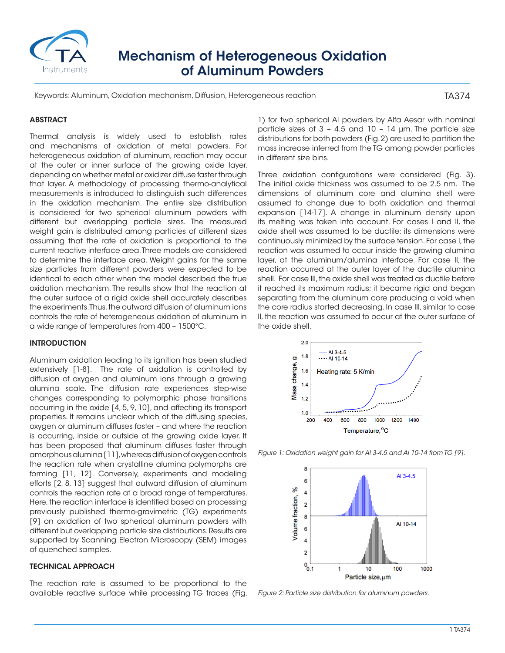

# Mechanism of Heterogeneous Oxidation of Aluminum Powders

Keywords: Aluminum, Oxidation mechanism, Diffusion, Heterogeneous reaction

TA374

### **ABSTRACT**

Thermal analysis is widely used to establish rates and mechanisms of oxidation of metal powders. For heterogeneous oxidation of aluminum, reaction may occur at the outer or inner surface of the growing oxide layer, depending on whether metal or oxidizer diffuse faster through that layer. A methodology of processing thermo-analytical measurements is introduced to distinguish such differences in the oxidation mechanism. The entire size distribution is considered for two spherical aluminum powders with different but overlapping particle sizes. The measured weight gain is distributed among particles of different sizes assuming that the rate of oxidation is proportional to the current reactive interface area. Three models are considered to determine the interface area. Weight gains for the same size particles from different powders were expected to be identical to each other when the model described the true oxidation mechanism. The results show that the reaction at the outer surface of a rigid oxide shell accurately describes the experiments. Thus, the outward diffusion of aluminum ions controls the rate of heterogeneous oxidation of aluminum in a wide range of temperatures from 400 – 1500°C.

#### INTRODUCTION

Aluminum oxidation leading to its ignition has been studied extensively [1-8]. The rate of oxidation is controlled by diffusion of oxygen and aluminum ions through a growing alumina scale. The diffusion rate experiences step-wise changes corresponding to polymorphic phase transitions occurring in the oxide [4, 5, 9, 10], and affecting its transport properties. It remains unclear which of the diffusing species, oxygen or aluminum diffuses faster – and where the reaction is occurring, inside or outside of the growing oxide layer. It has been proposed that aluminum diffuses faster through amorphous alumina [11], whereas diffusion of oxygen controls the reaction rate when crystalline alumina polymorphs are forming [11, 12]. Conversely, experiments and modeling efforts [2, 8, 13] suggest that outward diffusion of aluminum controls the reaction rate at a broad range of temperatures. Here, the reaction interface is identified based on processing previously published thermo-gravimetric (TG) experiments [9] on oxidation of two spherical aluminum powders with different but overlapping particle size distributions. Results are supported by Scanning Electron Microscopy (SEM) images of quenched samples.

## TECHNICAL APPROACH

The reaction rate is assumed to be proportional to the available reactive surface while processing TG traces (Fig. 1) for two spherical Al powders by Alfa Aesar with nominal particle sizes of 3 – 4.5 and 10 – 14 µm. The particle size distributions for both powders (Fig. 2) are used to partition the mass increase inferred from the TG among powder particles in different size bins.

Three oxidation configurations were considered (Fig. 3). The initial oxide thickness was assumed to be 2.5 nm. The dimensions of aluminum core and alumina shell were assumed to change due to both oxidation and thermal expansion [14-17]. A change in aluminum density upon its melting was taken into account. For cases I and II, the oxide shell was assumed to be ductile: its dimensions were continuously minimized by the surface tension. For case I, the reaction was assumed to occur inside the growing alumina layer, at the aluminum/alumina interface. For case II, the reaction occurred at the outer layer of the ductile alumina shell. For case III, the oxide shell was treated as ductile before it reached its maximum radius; it became rigid and began separating from the aluminum core producing a void when the core radius started decreasing. In case III, similar to case II, the reaction was assumed to occur at the outer surface of the oxide shell.



*Figure 1: Oxidation weight gain for Al 3-4.5 and Al 10-14 from TG [9].*



*Figure 2: Particle size distribution for aluminum powders.*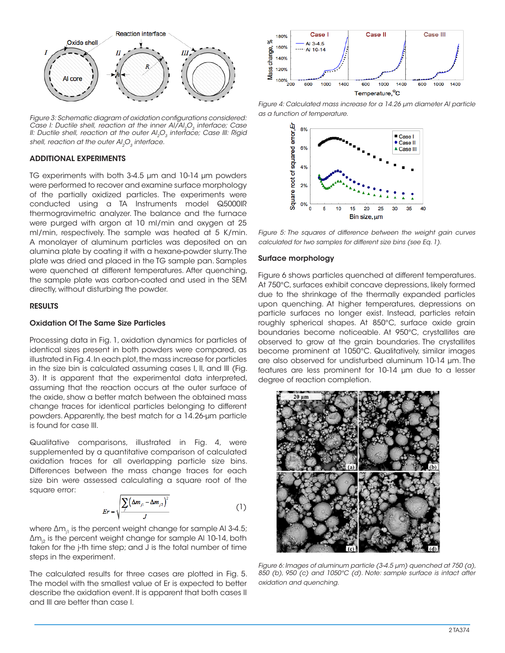

*Figure 3: Schematic diagram of oxidation configurations considered: Case I: Ductile shell, reaction at the inner AI/AI<sub>2</sub>O<sub>3</sub> interface; Case II: Ductile shell, reaction at the outer Al<sub>2</sub>O<sub>3</sub> interface; Case III: Rigid* shell, reaction at the outer Al<sub>2</sub>O<sub>2</sub> interface.

#### ADDITIONAL EXPERIMENTS

TG experiments with both 3-4.5 µm and 10-14 µm powders were performed to recover and examine surface morphology of the partially oxidized particles. The experiments were conducted using a TA Instruments model Q5000IR thermogravimetric analyzer. The balance and the furnace were purged with argon at 10 ml/min and oxygen at 25 ml/min, respectively. The sample was heated at 5 K/min. A monolayer of aluminum particles was deposited on an alumina plate by coating it with a hexane-powder slurry. The plate was dried and placed in the TG sample pan. Samples were quenched at different temperatures. After quenching, the sample plate was carbon-coated and used in the SEM directly, without disturbing the powder.

#### RESULTS

#### Oxidation Of The Same Size Particles

Processing data in Fig. 1, oxidation dynamics for particles of identical sizes present in both powders were compared, as illustrated in Fig. 4. In each plot, the mass increase for particles in the size bin is calculated assuming cases I, II, and III (Fig. 3). It is apparent that the experimental data interpreted, assuming that the reaction occurs at the outer surface of the oxide, show a better match between the obtained mass change traces for identical particles belonging to different powders. Apparently, the best match for a 14.26-µm particle is found for case III.

Qualitative comparisons, illustrated in Fig. 4, were supplemented by a quantitative comparison of calculated oxidation traces for all overlapping particle size bins. Differences between the mass change traces for each size bin were assessed calculating a square root of the square error:

$$
Er = \sqrt{\frac{\sum ( \Delta m_{j1} - \Delta m_{j2})^2}{J}} \tag{1}
$$

where  $\Delta m_{11}$  is the percent weight change for sample Al 3-4.5;  $\Delta m_{12}$  is the percent weight change for sample Al 10-14, both taken for the j-th time step; and J is the total number of time steps in the experiment.

The calculated results for three cases are plotted in Fig. 5. The model with the smallest value of Er is expected to better describe the oxidation event. It is apparent that both cases II and III are better than case I.



*Figure 4: Calculated mass increase for a 14.26 µm diameter Al particle as a function of temperature.*





#### Surface morphology

Figure 6 shows particles quenched at different temperatures. At 750°C, surfaces exhibit concave depressions, likely formed due to the shrinkage of the thermally expanded particles upon quenching. At higher temperatures, depressions on particle surfaces no longer exist. Instead, particles retain roughly spherical shapes. At 850°C, surface oxide grain boundaries become noticeable. At 950°C, crystallites are observed to grow at the grain boundaries. The crystallites become prominent at 1050°C. Qualitatively, similar images are also observed for undisturbed aluminum 10-14 μm. The features are less prominent for 10-14 μm due to a lesser degree of reaction completion.



*Figure 6: Images of aluminum particle (3-4.5 μm) quenched at 750 (a), 850 (b), 950 (c) and 1050°C (d). Note: sample surface is intact after oxidation and quenching.*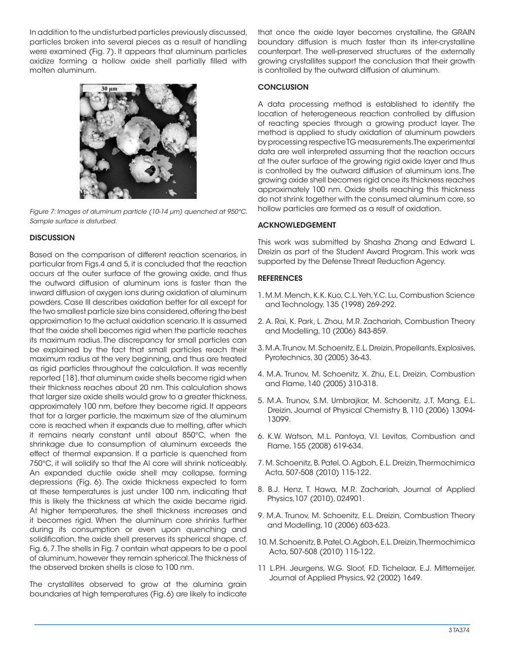In addition to the undisturbed particles previously discussed, particles broken into several pieces as a result of handling were examined (Fig. 7). It appears that aluminum particles oxidize forming a hollow oxide shell partially filled with molten aluminum.



*Figure 7: Images of aluminum particle (10-14 μm) quenched at 950°C. Sample surface is disturbed.* 

# **DISCUSSION**

Based on the comparison of different reaction scenarios, in particular from Figs.4 and 5, it is concluded that the reaction occurs at the outer surface of the growing oxide, and thus the outward diffusion of aluminum ions is faster than the inward diffusion of oxygen ions during oxidation of aluminum powders. Case III describes oxidation better for all except for the two smallest particle size bins considered, offering the best approximation to the actual oxidation scenario. It is assumed that the oxide shell becomes rigid when the particle reaches its maximum radius. The discrepancy for small particles can be explained by the fact that small particles reach their maximum radius at the very beginning, and thus are treated as rigid particles throughout the calculation. It was recently reported [18], that aluminum oxide shells become rigid when their thickness reaches about 20 nm. This calculation shows that larger size oxide shells would grow to a greater thickness, approximately 100 nm, before they become rigid. It appears that for a larger particle, the maximum size of the aluminum core is reached when it expands due to melting, after which it remains nearly constant until about 850°C, when the shrinkage due to consumption of aluminum exceeds the effect of thermal expansion. If a particle is quenched from 750°C, it will solidify so that the Al core will shrink noticeably. An expanded ductile oxide shell may collapse, forming depressions (Fig. 6). The oxide thickness expected to form at these temperatures is just under 100 nm, indicating that this is likely the thickness at which the oxide became rigid. At higher temperatures, the shell thickness increases and it becomes rigid. When the aluminum core shrinks further during its consumption or even upon quenching and solidification, the oxide shell preserves its spherical shape, cf. Fig. 6, 7. The shells in Fig. 7 contain what appears to be a pool of aluminum, however they remain spherical. The thickness of the observed broken shells is close to 100 nm.

The crystallites observed to grow at the alumina grain boundaries at high temperatures (Fig. 6) are likely to indicate that once the oxide layer becomes crystalline, the GRAIN boundary diffusion is much faster than its inter-crystalline counterpart. The well-preserved structures of the externally growing crystallites support the conclusion that their growth is controlled by the outward diffusion of aluminum.

## **CONCLUSION**

A data processing method is established to identify the location of heterogeneous reaction controlled by diffusion of reacting species through a growing product layer. The method is applied to study oxidation of aluminum powders by processing respective TG measurements. The experimental data are well interpreted assuming that the reaction occurs at the outer surface of the growing rigid oxide layer and thus is controlled by the outward diffusion of aluminum ions. The growing oxide shell becomes rigid once its thickness reaches approximately 100 nm. Oxide shells reaching this thickness do not shrink together with the consumed aluminum core, so hollow particles are formed as a result of oxidation.

## ACKNOWLEDGEMENT

This work was submitted by Shasha Zhang and Edward L. Dreizin as part of the Student Award Program. This work was supported by the Defense Threat Reduction Agency.

# **REFERENCES**

- 1. M.M. Mench, K.K. Kuo, C.L. Yeh, Y.C. Lu, Combustion Science and Technology, 135 (1998) 269-292.
- 2. A. Rai, K. Park, L. Zhou, M.R. Zachariah, Combustion Theory and Modelling, 10 (2006) 843-859.
- 3. M.A. Trunov, M. Schoenitz, E.L. Dreizin, Propellants, Explosives, Pyrotechnics, 30 (2005) 36-43.
- 4. M.A. Trunov, M. Schoenitz, X. Zhu, E.L. Dreizin, Combustion and Flame, 140 (2005) 310-318.
- 5. M.A. Trunov, S.M. Umbrajkar, M. Schoenitz, J.T. Mang, E.L. Dreizin, Journal of Physical Chemistry B, 110 (2006) 13094- 13099.
- 6. K.W. Watson, M.L. Pantoya, V.I. Levitas, Combustion and Flame, 155 (2008) 619-634.
- 7. M. Schoenitz, B. Patel, O. Agboh, E.L. Dreizin, Thermochimica Acta, 507-508 (2010) 115-122.
- 8. B.J. Henz, T. Hawa, M.R. Zachariah, Journal of Applied Physics,107 (2010), 024901.
- 9. M.A. Trunov, M. Schoenitz, E.L. Dreizin, Combustion Theory and Modelling, 10 (2006) 603-623.
- 10. M. Schoenitz, B. Patel, O. Agboh, E.L. Dreizin, Thermochimica Acta, 507-508 (2010) 115-122.
- 11 L.P.H. Jeurgens, W.G. Sloof, F.D. Tichelaar, E.J. Mittemeijer, Journal of Applied Physics, 92 (2002) 1649.